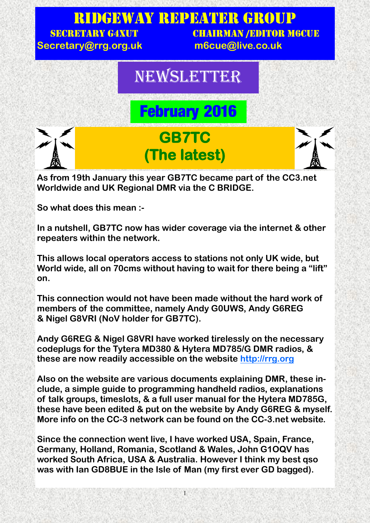

**As from 19th January this year GB7TC became part of the CC3.net Worldwide and UK Regional DMR via the C BRIDGE.**

**So what does this mean :-**

**In a nutshell, GB7TC now has wider coverage via the internet & other repeaters within the network.** 

**This allows local operators access to stations not only UK wide, but World wide, all on 70cms without having to wait for there being a "lift" on.**

**This connection would not have been made without the hard work of members of the committee, namely Andy G0UWS, Andy G6REG & Nigel G8VRI (NoV holder for GB7TC).**

**Andy G6REG & Nigel G8VRI have worked tirelessly on the necessary codeplugs for the Tytera MD380 & Hytera MD785/G DMR radios, & these are now readily accessible on the website [http://rrg.org](http://rrg.org.uk/)**

**Also on the website are various documents explaining DMR, these include, a simple guide to programming handheld radios, explanations of talk groups, timeslots, & a full user manual for the Hytera MD785G, these have been edited & put on the website by Andy G6REG & myself. More info on the CC-3 network can be found on the CC-3.net website.**

**Since the connection went live, I have worked USA, Spain, France, Germany, Holland, Romania, Scotland & Wales, John G1OQV has worked South Africa, USA & Australia. However I think my best qso was with Ian GD8BUE in the Isle of Man (my first ever GD bagged).** 

1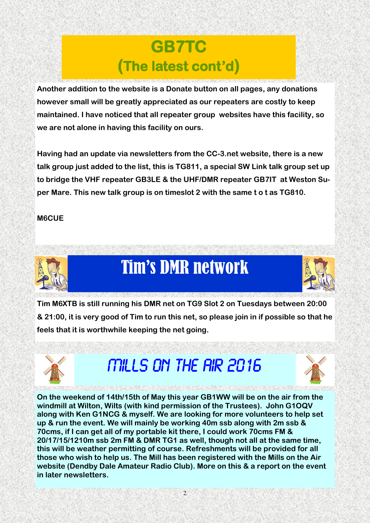### **GB7TC (The latest cont'd)**

**Another addition to the website is a Donate button on all pages, any donations however small will be greatly appreciated as our repeaters are costly to keep maintained. I have noticed that all repeater group websites have this facility, so we are not alone in having this facility on ours.**

**Having had an update via newsletters from the CC-3.net website, there is a new talk group just added to the list, this is TG811, a special SW Link talk group set up to bridge the VHF repeater GB3LE & the UHF/DMR repeater GB7IT at Weston Super Mare. This new talk group is on timeslot 2 with the same t o t as TG810.** 

### **M6CUE**



## Tim's DMR network

**Tim M6XTB is still running his DMR net on TG9 Slot 2 on Tuesdays between 20:00 & 21:00, it is very good of Tim to run this net, so please join in if possible so that he feels that it is worthwhile keeping the net going.**



### **Mills on the air 2016**



MARI MIRE O NORDER MARI O METAL COMPOSICIONES **On the weekend of 14th/15th of May this year GB1WW will be on the air from the windmill at Wilton, Wilts (with kind permission of the Trustees). John G1OQV along with Ken G1NCG & myself. We are looking for more volunteers to help set up & run the event. We will mainly be working 40m ssb along with 2m ssb & 70cms, if I can get all of my portable kit there, I could work 70cms FM & 20/17/15/1210m ssb 2m FM & DMR TG1 as well, though not all at the same time, this will be weather permitting of course. Refreshments will be provided for all those who wish to help us. The Mill has been registered with the Mills on the Air website (Dendby Dale Amateur Radio Club). More on this & a report on the event in later newsletters.**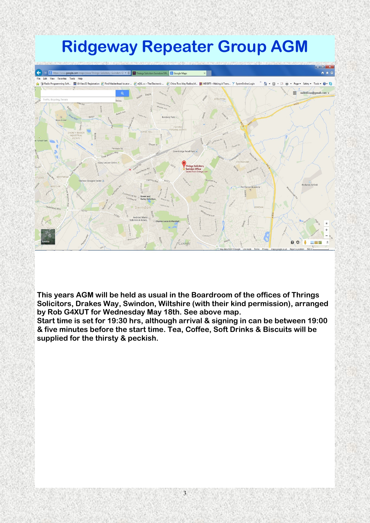## **Ridgeway Repeater Group AGM**



**This years AGM will be held as usual in the Boardroom of the offices of Thrings Solicitors, Drakes Way, Swindon, Wiltshire (with their kind permission), arranged by Rob G4XUT for Wednesday May 18th. See above map.**

**Start time is set for 19:30 hrs, although arrival & signing in can be between 19:00 & five minutes before the start time. Tea, Coffee, Soft Drinks & Biscuits will be supplied for the thirsty & peckish.**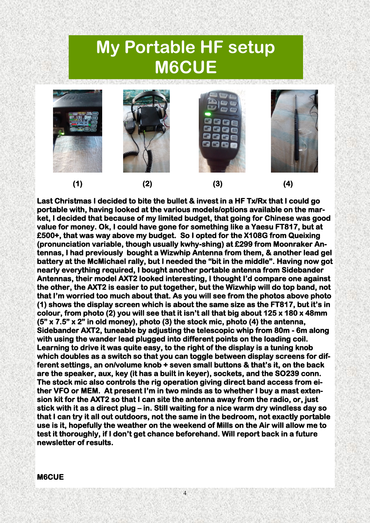### **My Portable HF setup M6CUE**



**Last Christmas I decided to bite the bullet & invest in a HF Tx/Rx that I could go portable with, having looked at the various models/options available on the market, I decided that because of my limited budget, that going for Chinese was good value for money. Ok, I could have gone for something like a Yaesu FT817, but at £500+, that was way above my budget. So I opted for the X108G from Queixing (pronunciation variable, though usually kwhy-shing) at £299 from Moonraker Antennas, I had previously bought a Wizwhip Antenna from them, & another lead gel battery at the McMichael rally, but I needed the "bit in the middle". Having now got nearly everything required, I bought another portable antenna from Sidebander Antennas, their model AXT2 looked interesting, I thought I'd compare one against the other, the AXT2 is easier to put together, but the Wizwhip will do top band, not that I'm worried too much about that. As you will see from the photos above photo (1) shows the display screen which is about the same size as the FT817, but it's in colour, from photo (2) you will see that it isn't all that big about 125 x 180 x 48mm (5" x 7.5" x 2" in old money), photo (3) the stock mic, photo (4) the antenna, Sidebander AXT2, tuneable by adjusting the telescopic whip from 80m - 6m along with using the wander lead plugged into different points on the loading coil. Learning to drive it was quite easy, to the right of the display is a tuning knob which doubles as a switch so that you can toggle between display screens for different settings, an on/volume knob + seven small buttons & that's it, on the back are the speaker, aux, key (it has a built in keyer), sockets, and the SO239 conn. The stock mic also controls the rig operation giving direct band access from either VFO or MEM. At present I'm in two minds as to whether I buy a mast extension kit for the AXT2 so that I can site the antenna away from the radio, or, just stick with it as a direct plug – in. Still waiting for a nice warm dry windless day so that I can try it all out outdoors, not the same in the bedroom, not exactly portable use is it, hopefully the weather on the weekend of Mills on the Air will allow me to test it thoroughly, if I don't get chance beforehand. Will report back in a future newsletter of results.** 

4

#### **M6CUE**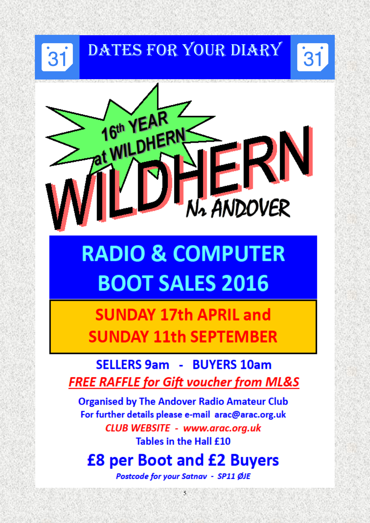### DATES FOR YOUR DIARY 31

 $31$ 



# **RADIO & COMPUTER BOOT SALES 2016**

**SUNDAY 17th APRIL and SUNDAY 11th SEPTEMBER** 

**SELLERS 9am - BUYERS 10am FREE RAFFLE for Gift voucher from ML&S** 

**Organised by The Andover Radio Amateur Club** For further details please e-mail arac@arac.org.uk **CLUB WEBSITE - www.arac.org.uk** Tables in the Hall £10

### **£8 per Boot and £2 Buyers**

Postcode for your Satnav - SP11 ØJE

 $\overline{5}$